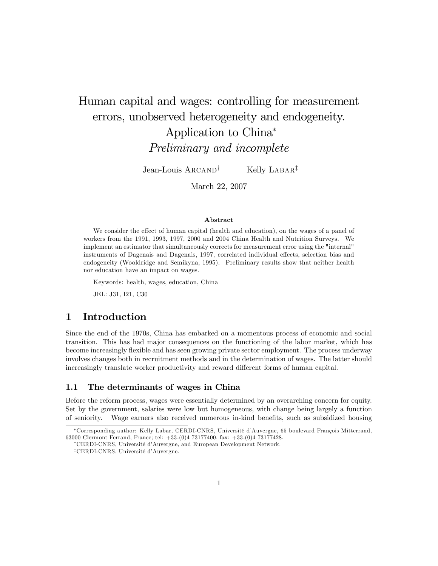# Human capital and wages: controlling for measurement errors, unobserved heterogeneity and endogeneity. Application to China Preliminary and incomplete

Jean-Louis  $\text{ARCAND}^\dagger$  Kelly LABAR<sup>‡</sup>

March 22, 2007

#### Abstract

We consider the effect of human capital (health and education), on the wages of a panel of workers from the 1991, 1993, 1997, 2000 and 2004 China Health and Nutrition Surveys. We implement an estimator that simultaneously corrects for measurement error using the "internal" instruments of Dagenais and Dagenais, 1997, correlated individual effects, selection bias and endogeneity (Wooldridge and Semikyna, 1995). Preliminary results show that neither health nor education have an impact on wages.

Keywords: health, wages, education, China

JEL: J31, I21, C30

## 1 Introduction

Since the end of the 1970s, China has embarked on a momentous process of economic and social transition. This has had major consequences on the functioning of the labor market, which has become increasingly áexible and has seen growing private sector employment. The process underway involves changes both in recruitment methods and in the determination of wages. The latter should increasingly translate worker productivity and reward different forms of human capital.

### 1.1 The determinants of wages in China

Before the reform process, wages were essentially determined by an overarching concern for equity. Set by the government, salaries were low but homogeneous, with change being largely a function of seniority. Wage earners also received numerous in-kind benefits, such as subsidized housing

<sup>\*</sup>Corresponding author: Kelly Labar, CERDI-CNRS, Université d'Auvergne, 65 boulevard François Mitterrand, 63000 Clermont Ferrand, France; tel: +33-(0)4 73177400, fax: +33-(0)4 73177428.

<sup>&</sup>lt;sup>†</sup>CERDI-CNRS, Université d'Auvergne, and European Development Network.

 $^\ddag$ CERDI-CNRS, Université d'Auvergne.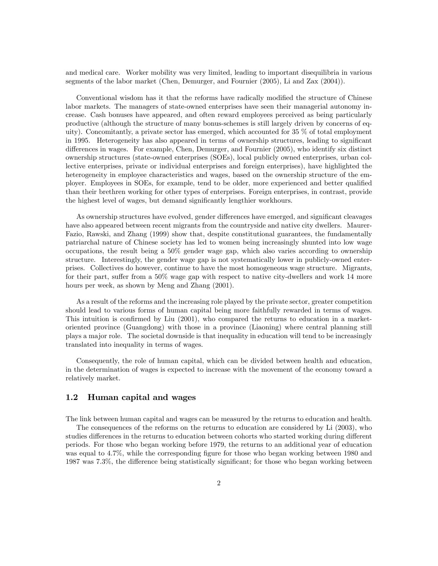and medical care. Worker mobility was very limited, leading to important disequilibria in various segments of the labor market (Chen, Demurger, and Fournier (2005), Li and Zax (2004)).

Conventional wisdom has it that the reforms have radically modified the structure of Chinese labor markets. The managers of state-owned enterprises have seen their managerial autonomy increase. Cash bonuses have appeared, and often reward employees perceived as being particularly productive (although the structure of many bonus-schemes is still largely driven by concerns of equity). Concomitantly, a private sector has emerged, which accounted for 35 % of total employment in 1995. Heterogeneity has also appeared in terms of ownership structures, leading to significant differences in wages. For example, Chen, Demurger, and Fournier (2005), who identify six distinct ownership structures (state-owned enterprises (SOEs), local publicly owned enterprises, urban collective enterprises, private or individual enterprises and foreign enterprises), have highlighted the heterogeneity in employee characteristics and wages, based on the ownership structure of the employer. Employees in SOEs, for example, tend to be older, more experienced and better qualified than their brethren working for other types of enterprises. Foreign enterprises, in contrast, provide the highest level of wages, but demand significantly lengthier workhours.

As ownership structures have evolved, gender differences have emerged, and significant cleavages have also appeared between recent migrants from the countryside and native city dwellers. Maurer-Fazio, Rawski, and Zhang (1999) show that, despite constitutional guarantees, the fundamentally patriarchal nature of Chinese society has led to women being increasingly shunted into low wage occupations, the result being a 50% gender wage gap, which also varies according to ownership structure. Interestingly, the gender wage gap is not systematically lower in publicly-owned enterprises. Collectives do however, continue to have the most homogeneous wage structure. Migrants, for their part, suffer from a  $50\%$  wage gap with respect to native city-dwellers and work 14 more hours per week, as shown by Meng and Zhang (2001).

As a result of the reforms and the increasing role played by the private sector, greater competition should lead to various forms of human capital being more faithfully rewarded in terms of wages. This intuition is confirmed by Liu  $(2001)$ , who compared the returns to education in a marketoriented province (Guangdong) with those in a province (Liaoning) where central planning still plays a major role. The societal downside is that inequality in education will tend to be increasingly translated into inequality in terms of wages.

Consequently, the role of human capital, which can be divided between health and education, in the determination of wages is expected to increase with the movement of the economy toward a relatively market.

#### 1.2 Human capital and wages

The link between human capital and wages can be measured by the returns to education and health.

The consequences of the reforms on the returns to education are considered by Li (2003), who studies differences in the returns to education between cohorts who started working during different periods. For those who began working before 1979, the returns to an additional year of education was equal to 4.7%, while the corresponding figure for those who began working between 1980 and 1987 was 7.3%, the difference being statistically significant; for those who began working between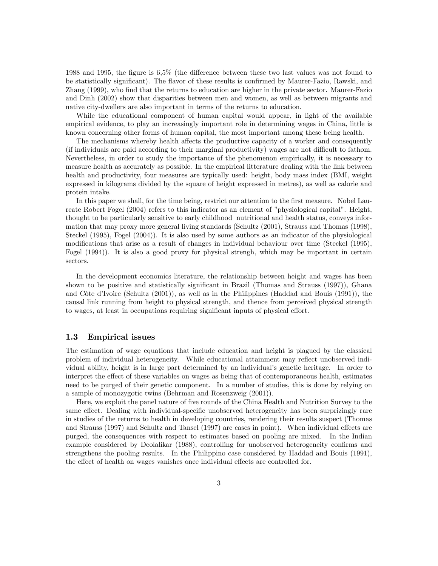1988 and 1995, the figure is  $6.5\%$  (the difference between these two last values was not found to be statistically significant). The flavor of these results is confirmed by Maurer-Fazio, Rawski, and Zhang (1999), who find that the returns to education are higher in the private sector. Maurer-Fazio and Dinh (2002) show that disparities between men and women, as well as between migrants and native city-dwellers are also important in terms of the returns to education.

While the educational component of human capital would appear, in light of the available empirical evidence, to play an increasingly important role in determining wages in China, little is known concerning other forms of human capital, the most important among these being health.

The mechanisms whereby health affects the productive capacity of a worker and consequently (if individuals are paid according to their marginal productivity) wages are not difficult to fathom. Nevertheless, in order to study the importance of the phenomenon empirically, it is necessary to measure health as accurately as possible. In the empirical litterature dealing with the link between health and productivity, four measures are typically used: height, body mass index (BMI, weight) expressed in kilograms divided by the square of height expressed in metres), as well as calorie and protein intake.

In this paper we shall, for the time being, restrict our attention to the first measure. Nobel Laureate Robert Fogel (2004) refers to this indicator as an element of "physiological capital". Height, thought to be particularly sensitive to early childhood nutritional and health status, conveys information that may proxy more general living standards (Schultz (2001), Strauss and Thomas (1998), Steckel (1995), Fogel (2004)). It is also used by some authors as an indicator of the physiological modifications that arise as a result of changes in individual behaviour over time (Steckel (1995), Fogel (1994)). It is also a good proxy for physical strengh, which may be important in certain sectors.

In the development economics literature, the relationship between height and wages has been shown to be positive and statistically significant in Brazil (Thomas and Strauss (1997)), Ghana and Côte d'Ivoire (Schultz (2001)), as well as in the Philippines (Haddad and Bouis (1991)), the causal link running from height to physical strength, and thence from perceived physical strength to wages, at least in occupations requiring significant inputs of physical effort.

#### 1.3 Empirical issues

The estimation of wage equations that include education and height is plagued by the classical problem of individual heterogeneity. While educational attainment may reflect unobserved individual ability, height is in large part determined by an individualís genetic heritage. In order to interpret the effect of these variables on wages as being that of contemporaneous health, estimates need to be purged of their genetic component. In a number of studies, this is done by relying on a sample of monozygotic twins (Behrman and Rosenzweig (2001)).

Here, we exploit the panel nature of five rounds of the China Health and Nutrition Survey to the same effect. Dealing with individual-specific unobserved heterogeneity has been surprizingly rare in studies of the returns to health in developing countries, rendering their results suspect (Thomas and Strauss (1997) and Schultz and Tansel (1997) are cases in point). When individual effects are purged, the consequences with respect to estimates based on pooling are mixed. In the Indian example considered by Deolalikar (1988), controlling for unobserved heterogeneity confirms and strengthens the pooling results. In the Philippino case considered by Haddad and Bouis (1991), the effect of health on wages vanishes once individual effects are controlled for.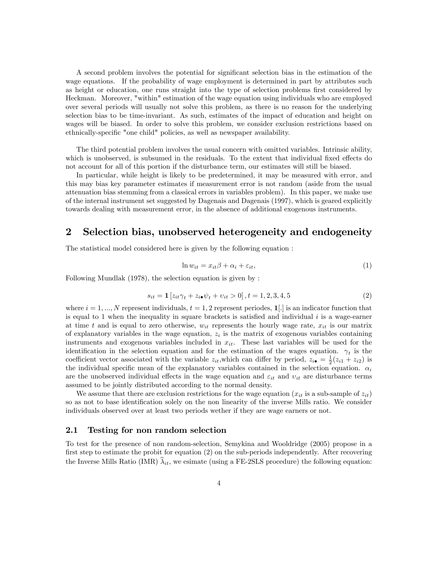A second problem involves the potential for significant selection bias in the estimation of the wage equations. If the probability of wage employment is determined in part by attributes such as height or education, one runs straight into the type of selection problems first considered by Heckman. Moreover, "within" estimation of the wage equation using individuals who are employed over several periods will usually not solve this problem, as there is no reason for the underlying selection bias to be time-invariant. As such, estimates of the impact of education and height on wages will be biased. In order to solve this problem, we consider exclusion restrictions based on ethnically-specific "one child" policies, as well as newspaper availability.

The third potential problem involves the usual concern with omitted variables. Intrinsic ability, which is unobserved, is subsumed in the residuals. To the extent that individual fixed effects do not account for all of this portion if the disturbance term, our estimates will still be biased.

In particular, while height is likely to be predetermined, it may be measured with error, and this may bias key parameter estimates if measurement error is not random (aside from the usual attenuation bias stemming from a classical errors in variables problem). In this paper, we make use of the internal instrument set suggested by Dagenais and Dagenais (1997), which is geared explicitly towards dealing with measurement error, in the absence of additional exogenous instruments.

# 2 Selection bias, unobserved heterogeneity and endogeneity

The statistical model considered here is given by the following equation :

$$
\ln w_{it} = x_{it}\beta + \alpha_i + \varepsilon_{it},\tag{1}
$$

Following Mundlak (1978), the selection equation is given by :

$$
s_{it} = \mathbf{1} \left[ z_{it} \gamma_t + z_{i\bullet} \psi_t + v_{it} > 0 \right], t = 1, 2, 3, 4, 5 \tag{2}
$$

where  $i = 1, ..., N$  represent individuals,  $t = 1, 2$  represent periodes,  $\mathbf{1}[.]$  is an indicator function that is equal to 1 when the inequality in square brackets is satisfied and individual  $i$  is a wage-earner at time t and is equal to zero otherwise,  $w_{it}$  represents the hourly wage rate,  $x_{it}$  is our matrix of explanatory variables in the wage equation,  $z_i$  is the matrix of exogenous variables containing instruments and exogenous variables included in  $x_{it}$ . These last variables will be used for the identification in the selection equation and for the estimation of the wages equation.  $\gamma_t$  is the coefficient vector associated with the variable  $z_{it}$ , which can differ by period,  $z_{i} = \frac{1}{2}(z_{i1} + z_{i2})$  is the individual specific mean of the explanatory variables contained in the selection equation.  $\alpha_i$ are the unobserved individual effects in the wage equation and  $\varepsilon_{it}$  and  $v_{it}$  are disturbance terms assumed to be jointly distributed according to the normal density.

We assume that there are exclusion restrictions for the wage equation  $(x_{it}$  is a sub-sample of  $z_{it}$ ) so as not to base identification solely on the non linearity of the inverse Mills ratio. We consider individuals observed over at least two periods wether if they are wage earners or not.

#### 2.1 Testing for non random selection

To test for the presence of non random-selection, Semykina and Wooldridge (2005) propose in a first step to estimate the probit for equation  $(2)$  on the sub-periods independently. After recovering the Inverse Mills Ratio (IMR)  $\hat{\lambda}_{it}$ , we esimate (using a FE-2SLS procedure) the following equation: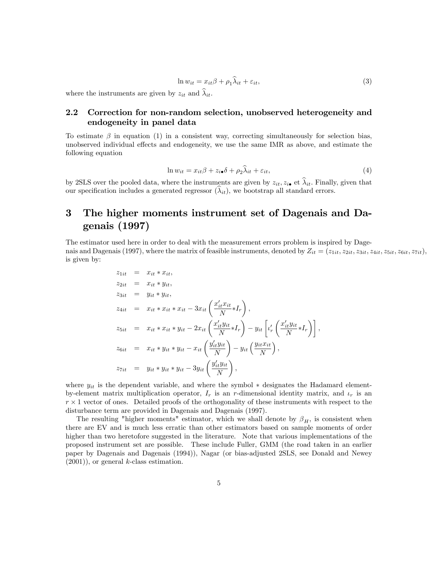$$
\ln w_{it} = x_{it}\beta + \rho_1 \widehat{\lambda}_{it} + \varepsilon_{it},\tag{3}
$$

where the instruments are given by  $z_{it}$  and  $\lambda_{it}$ .

# 2.2 Correction for non-random selection, unobserved heterogeneity and endogeneity in panel data

To estimate  $\beta$  in equation (1) in a consistent way, correcting simultaneously for selection bias, unobserved individual effects and endogeneity, we use the same IMR as above, and estimate the following equation

$$
\ln w_{it} = x_{it}\beta + z_{i\bullet}\delta + \rho_2\hat{\lambda}_{it} + \varepsilon_{it},\tag{4}
$$

by 2SLS over the pooled data, where the instruments are given by  $z_{it}$ ,  $z_{it}$  et  $\hat{\lambda}_{it}$ . Finally, given that our specification includes a generated regressor  $(\lambda_{it})$ , we bootstrap all standard errors.

# 3 The higher moments instrument set of Dagenais and Dagenais (1997)

The estimator used here in order to deal with the measurement errors problem is inspired by Dagenais and Dagenais (1997), where the matrix of feasible instruments, denoted by  $Z_{it} = (z_{1it}, z_{2it}, z_{3it}, z_{4it}, z_{5it}, z_{6it}, z_{7it})$ , is given by:

$$
z_{1it} = x_{it} * x_{it},
$$
  
\n
$$
z_{2it} = x_{it} * y_{it},
$$
  
\n
$$
z_{3it} = y_{it} * y_{it},
$$
  
\n
$$
z_{4it} = x_{it} * x_{it} * x_{it} - 3x_{it} \left( \frac{x'_{it} x_{it}}{N} * I_r \right),
$$
  
\n
$$
z_{5it} = x_{it} * x_{it} * y_{it} - 2x_{it} \left( \frac{x'_{it} y_{it}}{N} * I_r \right) - y_{it} \left[ \iota'_r \left( \frac{x'_{it} y_{it}}{N} * I_r \right) \right],
$$
  
\n
$$
z_{6it} = x_{it} * y_{it} * y_{it} - x_{it} \left( \frac{y'_{it} y_{it}}{N} \right) - y_{it} \left( \frac{y_{it} x_{it}}{N} \right),
$$
  
\n
$$
z_{7it} = y_{it} * y_{it} * y_{it} - 3y_{it} \left( \frac{y'_{it} y_{it}}{N} \right),
$$

where  $y_{it}$  is the dependent variable, and where the symbol  $*$  designates the Hadamard elementby-element matrix multiplication operator,  $I_r$  is an r-dimensional identity matrix, and  $\iota_r$  is an  $r \times 1$  vector of ones. Detailed proofs of the orthogonality of these instruments with respect to the disturbance term are provided in Dagenais and Dagenais (1997).

The resulting "higher moments" estimator, which we shall denote by  $\beta_H$ , is consistent when there are EV and is much less erratic than other estimators based on sample moments of order higher than two heretofore suggested in the literature. Note that various implementations of the proposed instrument set are possible. These include Fuller, GMM (the road taken in an earlier paper by Dagenais and Dagenais (1994)), Nagar (or bias-adjusted 2SLS, see Donald and Newey  $(2001)$ , or general k-class estimation.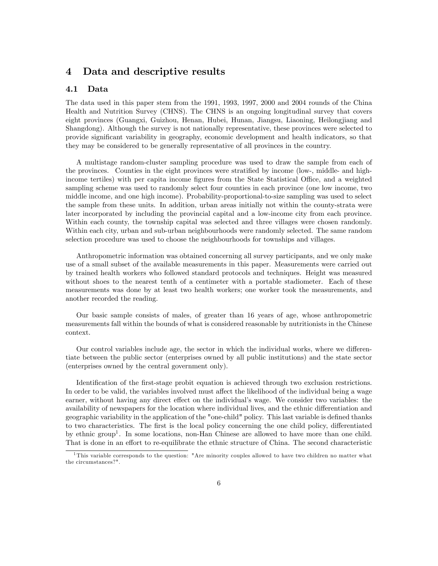# 4 Data and descriptive results

### 4.1 Data

The data used in this paper stem from the 1991, 1993, 1997, 2000 and 2004 rounds of the China Health and Nutrition Survey (CHNS). The CHNS is an ongoing longitudinal survey that covers eight provinces (Guangxi, Guizhou, Henan, Hubei, Hunan, Jiangsu, Liaoning, Heilongjiang and Shangdong). Although the survey is not nationally representative, these provinces were selected to provide significant variability in geography, economic development and health indicators, so that they may be considered to be generally representative of all provinces in the country.

A multistage random-cluster sampling procedure was used to draw the sample from each of the provinces. Counties in the eight provinces were stratified by income (low-, middle- and highincome tertiles) with per capita income figures from the State Statistical Office, and a weighted sampling scheme was used to randomly select four counties in each province (one low income, two middle income, and one high income). Probability-proportional-to-size sampling was used to select the sample from these units. In addition, urban areas initially not within the county-strata were later incorporated by including the provincial capital and a low-income city from each province. Within each county, the township capital was selected and three villages were chosen randomly. Within each city, urban and sub-urban neighbourhoods were randomly selected. The same random selection procedure was used to choose the neighbourhoods for townships and villages.

Anthropometric information was obtained concerning all survey participants, and we only make use of a small subset of the available measurements in this paper. Measurements were carried out by trained health workers who followed standard protocols and techniques. Height was measured without shoes to the nearest tenth of a centimeter with a portable stadiometer. Each of these measurements was done by at least two health workers; one worker took the measurements, and another recorded the reading.

Our basic sample consists of males, of greater than 16 years of age, whose anthropometric measurements fall within the bounds of what is considered reasonable by nutritionists in the Chinese context.

Our control variables include age, the sector in which the individual works, where we differentiate between the public sector (enterprises owned by all public institutions) and the state sector (enterprises owned by the central government only).

Identification of the first-stage probit equation is achieved through two exclusion restrictions. In order to be valid, the variables involved must affect the likelihood of the individual being a wage earner, without having any direct effect on the individual's wage. We consider two variables: the availability of newspapers for the location where individual lives, and the ethnic differentiation and geographic variability in the application of the "one-child" policy. This last variable is defined thanks to two characteristics. The first is the local policy concerning the one child policy, differentiated by ethnic group<sup>1</sup>. In some locations, non-Han Chinese are allowed to have more than one child. That is done in an effort to re-equilibrate the ethnic structure of China. The second characteristic

<sup>&</sup>lt;sup>1</sup>This variable corresponds to the question: "Are minority couples allowed to have two children no matter what the circumstances?".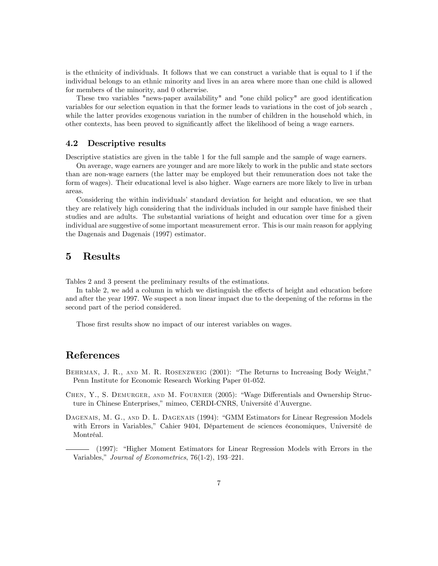is the ethnicity of individuals. It follows that we can construct a variable that is equal to 1 if the individual belongs to an ethnic minority and lives in an area where more than one child is allowed for members of the minority, and 0 otherwise.

These two variables "news-paper availability" and "one child policy" are good identification variables for our selection equation in that the former leads to variations in the cost of job search, while the latter provides exogenous variation in the number of children in the household which, in other contexts, has been proved to significantly affect the likelihood of being a wage earners.

#### 4.2 Descriptive results

Descriptive statistics are given in the table 1 for the full sample and the sample of wage earners.

On average, wage earners are younger and are more likely to work in the public and state sectors than are non-wage earners (the latter may be employed but their remuneration does not take the form of wages). Their educational level is also higher. Wage earners are more likely to live in urban areas.

Considering the within individuals' standard deviation for height and education, we see that they are relatively high considering that the individuals included in our sample have finished their studies and are adults. The substantial variations of height and education over time for a given individual are suggestive of some important measurement error. This is our main reason for applying the Dagenais and Dagenais (1997) estimator.

#### $\bf{5}$ Results

Tables 2 and 3 present the preliminary results of the estimations.

In table 2, we add a column in which we distinguish the effects of height and education before and after the year 1997. We suspect a non linear impact due to the deepening of the reforms in the second part of the period considered.

Those first results show no impact of our interest variables on wages.

# References

- BEHRMAN, J. R., AND M. R. ROSENZWEIG (2001): "The Returns to Increasing Body Weight," Penn Institute for Economic Research Working Paper 01-052.
- CHEN, Y., S. DEMURGER, AND M. FOURNIER (2005): "Wage Differentials and Ownership Structure in Chinese Enterprises," mimeo, CERDI-CNRS, Université d'Auvergne.
- DAGENAIS, M. G., AND D. L. DAGENAIS (1994): "GMM Estimators for Linear Regression Models with Errors in Variables," Cahier 9404, Département de sciences économiques, Université de Montréal.

(1997): "Higher Moment Estimators for Linear Regression Models with Errors in the Variables," Journal of Econometrics, 76(1-2), 193-221.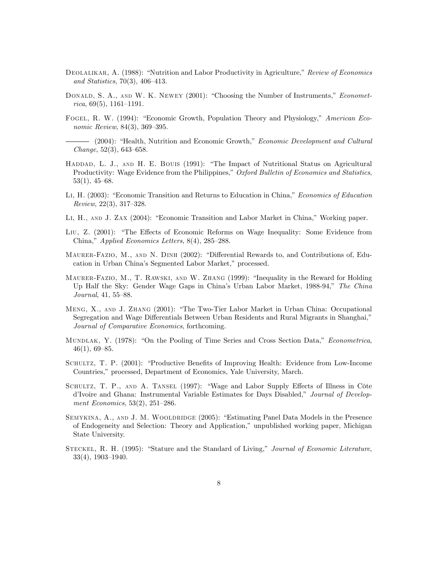- DEOLALIKAR, A. (1988): "Nutrition and Labor Productivity in Agriculture," Review of Economics and Statistics, 70(3), 406-413.
- DONALD, S. A., AND W. K. NEWEY (2001): "Choosing the Number of Instruments," *Econometrica*,  $69(5)$ ,  $1161-1191$ .
- FOGEL, R. W. (1994): "Economic Growth, Population Theory and Physiology," American Economic Review, 84(3), 369-395.
- (2004): "Health, Nutrition and Economic Growth," *Economic Development and Cultural* Change,  $52(3)$ ,  $643-658$ .
- HADDAD, L. J., AND H. E. BOUIS (1991): "The Impact of Nutritional Status on Agricultural Productivity: Wage Evidence from the Philippines," Oxford Bulletin of Economics and Statistics,  $53(1), 45-68.$
- LI, H. (2003): "Economic Transition and Returns to Education in China," Economics of Education  $Review, 22(3), 317-328.$
- LI, H., AND J. ZAX (2004): "Economic Transition and Labor Market in China," Working paper.
- LIU, Z. (2001): "The Effects of Economic Reforms on Wage Inequality: Some Evidence from China," Applied Economics Letters, 8(4), 285–288.
- MAURER-FAZIO, M., AND N. DINH (2002): "Differential Rewards to, and Contributions of, Education in Urban China's Segmented Labor Market," processed.
- MAURER-FAZIO, M., T. RAWSKI, AND W. ZHANG (1999): "Inequality in the Reward for Holding Up Half the Sky: Gender Wage Gaps in China's Urban Labor Market, 1988-94," The China Journal, 41, 55-88.
- MENG, X., AND J. ZHANG (2001): "The Two-Tier Labor Market in Urban China: Occupational Segregation and Wage Differentials Between Urban Residents and Rural Migrants in Shanghai," Journal of Comparative Economics, forthcoming.
- MUNDLAK, Y. (1978): "On the Pooling of Time Series and Cross Section Data," Econometrica,  $46(1), 69 - 85.$
- SCHULTZ, T. P. (2001): "Productive Benefits of Improving Health: Evidence from Low-Income Countries," processed, Department of Economics, Yale University, March.
- SCHULTZ, T. P., AND A. TANSEL (1997): "Wage and Labor Supply Effects of Illness in Côte d'Ivoire and Ghana: Instrumental Variable Estimates for Days Disabled," Journal of Development Economics,  $53(2)$ ,  $251-286$ .
- SEMYKINA, A., AND J. M. WOOLDRIDGE (2005): "Estimating Panel Data Models in the Presence of Endogeneity and Selection: Theory and Application," unpublished working paper, Michigan State University.
- STECKEL, R. H. (1995): "Stature and the Standard of Living," Journal of Economic Literature,  $33(4)$ ,  $1903-1940$ .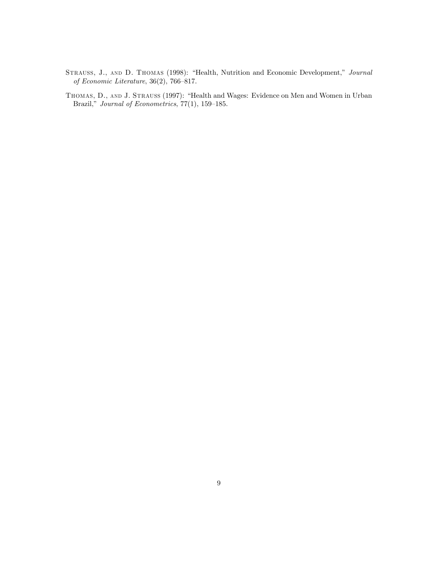- STRAUSS, J., AND D. THOMAS (1998): "Health, Nutrition and Economic Development," Journal of Economic Literature,  $36(2)$ ,  $766-817$ .
- THOMAS, D., AND J. STRAUSS (1997): "Health and Wages: Evidence on Men and Women in Urban Brazil," Journal of Econometrics,  $77(1)$ ,  $159-185$ .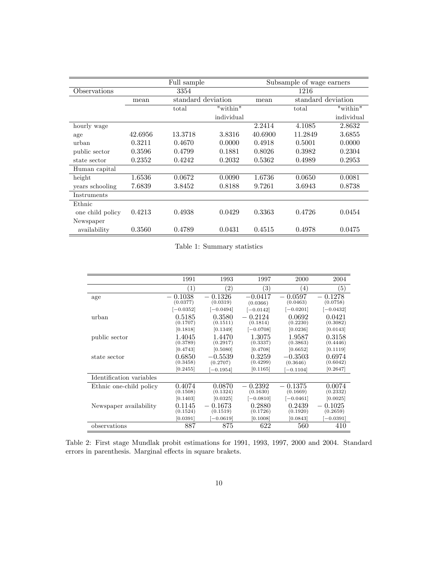|                  | Full sample |                    |            | Subsample of wage earners |                    |            |
|------------------|-------------|--------------------|------------|---------------------------|--------------------|------------|
| Observations     |             | 3354               |            |                           | 1216               |            |
|                  | mean        | standard deviation |            | mean                      | standard deviation |            |
|                  |             | total              | "within"   |                           | total              | "within"   |
|                  |             |                    | individual |                           |                    | individual |
| hourly wage      |             |                    |            | 2.2414                    | 4.1085             | 2.8632     |
| age              | 42.6956     | 13.3718            | 3.8316     | 40.6900                   | 11.2849            | 3.6855     |
| urban            | 0.3211      | 0.4670             | 0.0000     | 0.4918                    | 0.5001             | 0.0000     |
| public sector    | 0.3596      | 0.4799             | 0.1881     | 0.8026                    | 0.3982             | 0.2304     |
| state sector     | 0.2352      | 0.4242             | 0.2032     | 0.5362                    | 0.4989             | 0.2953     |
| Human capital    |             |                    |            |                           |                    |            |
| height           | 1.6536      | 0.0672             | 0.0090     | 1.6736                    | 0.0650             | 0.0081     |
| years schooling  | 7.6839      | 3.8452             | 0.8188     | 9.7261                    | 3.6943             | 0.8738     |
| Instruments      |             |                    |            |                           |                    |            |
| Ethnic           |             |                    |            |                           |                    |            |
| one child policy | 0.4213      | 0.4938             | 0.0429     | 0.3363                    | 0.4726             | 0.0454     |
| Newspaper        |             |                    |            |                           |                    |            |
| availability     | 0.3560      | 0.4789             | 0.0431     | 0.4515                    | 0.4978             | 0.0475     |

Table 1: Summary statistics

|                          | 1991                                       | 1993                                                       | 1997                                                   | 2000                                    | 2004                                       |
|--------------------------|--------------------------------------------|------------------------------------------------------------|--------------------------------------------------------|-----------------------------------------|--------------------------------------------|
|                          | $\left( 1\right)$                          | $\left( 2\right)$                                          | $\left( 3\right)$                                      | $\left(4\right)$                        | $\left( 5\right)$                          |
| age                      | 0.1038<br>(0.0377)<br>$[-0.0352]$          | 0.1326<br>(0.0319)                                         | $-0.0417$<br>(0.0366)                                  | 0.0597<br>$\qquad \qquad -$<br>(0.0463) | 0.1278<br>(0.0758)                         |
| urban                    | 0.5185<br>(0.1707)                         | $[-0.0494]$<br>0.3580<br>(0.1511)                          | $[-0.0142]$<br>0.2124<br>$\qquad \qquad -$<br>(0.1814) | $[-0.0201]$<br>0.0692<br>(0.2230)       | $[-0.0432]$<br>0.0421<br>(0.3082)          |
| public sector            | [0.1818]<br>1.4045<br>(0.3789)             | [0.1349]<br>1.4470<br>(0.2917)                             | $[-0.0708]$<br>1.3075<br>(0.3337)                      | [0.0236]<br>1.9587<br>(0.3863)          | [0.0143]<br>0.3158<br>(0.4446)             |
| state sector             | [0.4743]<br>0.6850<br>(0.3458)<br>[0.2455] | [0.5080]<br>$-0.5539$<br>(0.2707)                          | [0.4708]<br>0.3259<br>(0.4299)<br>[0.1165]             | [0.6652]<br>$-0.3503$<br>(0.3646)       | [0.1119]<br>0.6974<br>(0.6042)<br>[0.2647] |
| Identification variables |                                            | $[-0.1954]$                                                |                                                        | $-0.1104$                               |                                            |
| Ethnic one-child policy  | 0.4074<br>(0.1508)<br>[0.1403]             | 0.0870<br>(0.1324)                                         | 0.2392<br>(0.1630)                                     | 0.1375<br>(0.1669)                      | 0.0074<br>(0.2332)                         |
| Newspaper availability   | 0.1145<br>(0.1524)                         | [0.0325]<br>0.1673<br>$\overline{\phantom{0}}$<br>(0.1519) | $[-0.0810]$<br>0.2880<br>(0.1726)                      | $[-0.0461]$<br>0.2439<br>(0.1920)       | [0.0025]<br>0.1025<br>(0.2659)             |
| observations             | [0.0391]<br>887                            | $[-0.0619]$<br>875                                         | [0.1008]<br>622                                        | [0.0843]<br>560                         | $[-0.0391]$<br>410                         |

Table 2: First stage Mundlak probit estimations for 1991, 1993, 1997, 2000 and 2004. Standard errors in parenthesis. Marginal effects in square brakets.